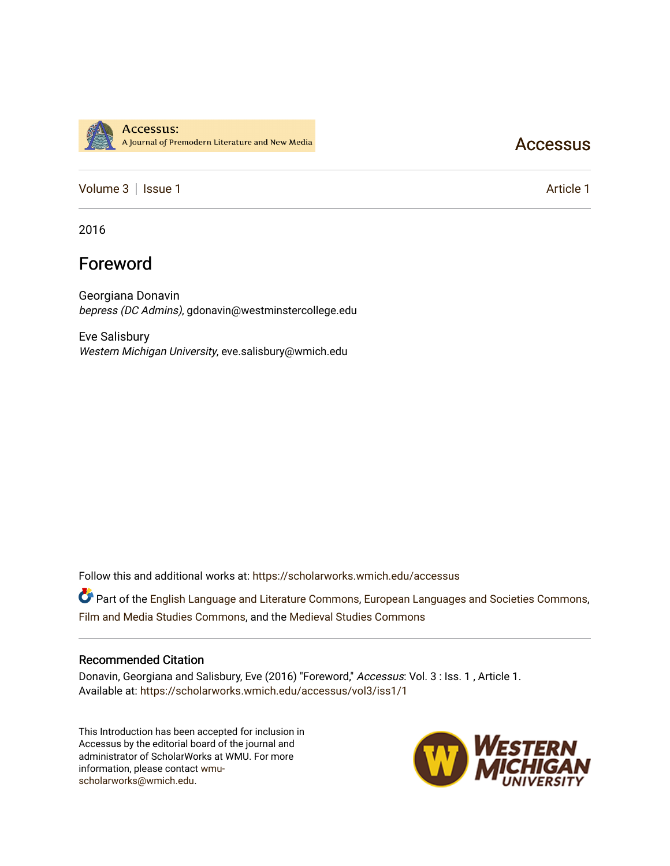

## **Accessus**

[Volume 3](https://scholarworks.wmich.edu/accessus/vol3) | [Issue 1](https://scholarworks.wmich.edu/accessus/vol3/iss1) Article 1

2016

# Foreword

Georgiana Donavin bepress (DC Admins), gdonavin@westminstercollege.edu

Eve Salisbury Western Michigan University, eve.salisbury@wmich.edu

Follow this and additional works at: [https://scholarworks.wmich.edu/accessus](https://scholarworks.wmich.edu/accessus?utm_source=scholarworks.wmich.edu%2Faccessus%2Fvol3%2Fiss1%2F1&utm_medium=PDF&utm_campaign=PDFCoverPages)

Part of the [English Language and Literature Commons](http://network.bepress.com/hgg/discipline/455?utm_source=scholarworks.wmich.edu%2Faccessus%2Fvol3%2Fiss1%2F1&utm_medium=PDF&utm_campaign=PDFCoverPages), [European Languages and Societies Commons](http://network.bepress.com/hgg/discipline/482?utm_source=scholarworks.wmich.edu%2Faccessus%2Fvol3%2Fiss1%2F1&utm_medium=PDF&utm_campaign=PDFCoverPages), [Film and Media Studies Commons,](http://network.bepress.com/hgg/discipline/563?utm_source=scholarworks.wmich.edu%2Faccessus%2Fvol3%2Fiss1%2F1&utm_medium=PDF&utm_campaign=PDFCoverPages) and the [Medieval Studies Commons](http://network.bepress.com/hgg/discipline/480?utm_source=scholarworks.wmich.edu%2Faccessus%2Fvol3%2Fiss1%2F1&utm_medium=PDF&utm_campaign=PDFCoverPages) 

### Recommended Citation

Donavin, Georgiana and Salisbury, Eve (2016) "Foreword," Accessus: Vol. 3 : Iss. 1 , Article 1. Available at: [https://scholarworks.wmich.edu/accessus/vol3/iss1/1](https://scholarworks.wmich.edu/accessus/vol3/iss1/1?utm_source=scholarworks.wmich.edu%2Faccessus%2Fvol3%2Fiss1%2F1&utm_medium=PDF&utm_campaign=PDFCoverPages) 

This Introduction has been accepted for inclusion in Accessus by the editorial board of the journal and administrator of ScholarWorks at WMU. For more information, please contact [wmu](mailto:wmu-scholarworks@wmich.edu)[scholarworks@wmich.edu.](mailto:wmu-scholarworks@wmich.edu)

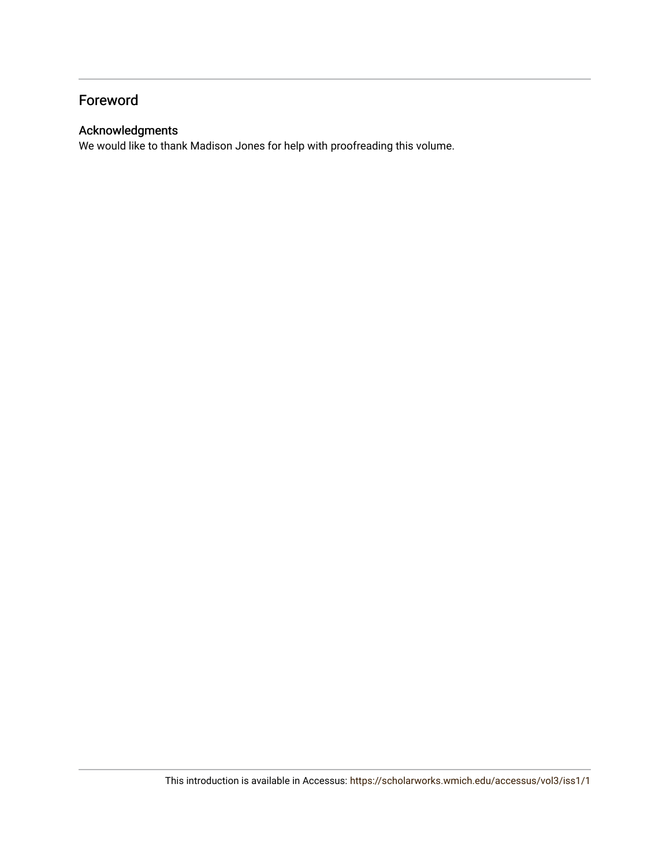## Foreword

### Acknowledgments

We would like to thank Madison Jones for help with proofreading this volume.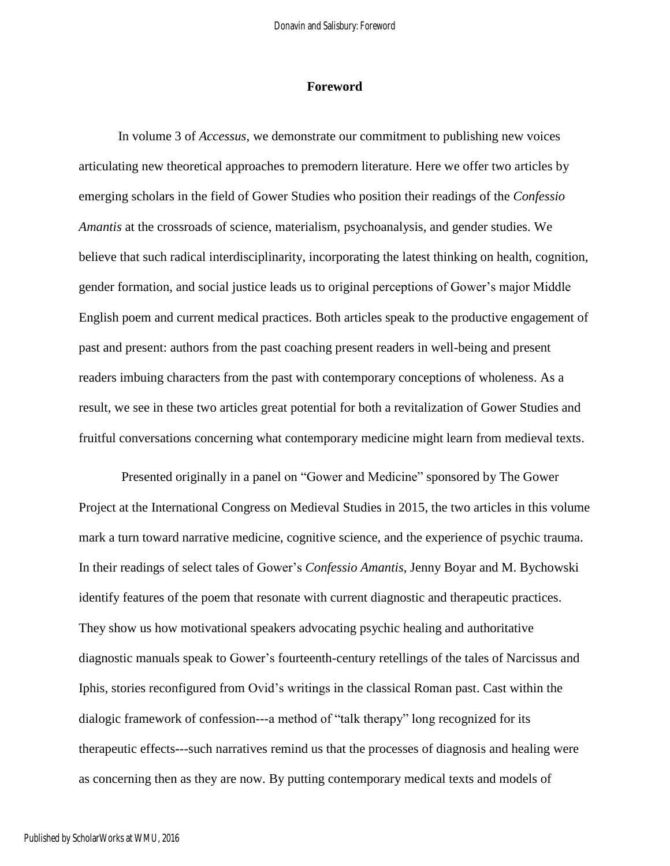### **Foreword**

In volume 3 of *Accessus*, we demonstrate our commitment to publishing new voices articulating new theoretical approaches to premodern literature. Here we offer two articles by emerging scholars in the field of Gower Studies who position their readings of the *Confessio Amantis* at the crossroads of science, materialism, psychoanalysis, and gender studies. We believe that such radical interdisciplinarity, incorporating the latest thinking on health, cognition, gender formation, and social justice leads us to original perceptions of Gower's major Middle English poem and current medical practices. Both articles speak to the productive engagement of past and present: authors from the past coaching present readers in well-being and present readers imbuing characters from the past with contemporary conceptions of wholeness. As a result, we see in these two articles great potential for both a revitalization of Gower Studies and fruitful conversations concerning what contemporary medicine might learn from medieval texts.

Presented originally in a panel on "Gower and Medicine" sponsored by The Gower Project at the International Congress on Medieval Studies in 2015, the two articles in this volume mark a turn toward narrative medicine, cognitive science, and the experience of psychic trauma. In their readings of select tales of Gower's *Confessio Amantis*, Jenny Boyar and M. Bychowski identify features of the poem that resonate with current diagnostic and therapeutic practices. They show us how motivational speakers advocating psychic healing and authoritative diagnostic manuals speak to Gower's fourteenth-century retellings of the tales of Narcissus and Iphis, stories reconfigured from Ovid's writings in the classical Roman past. Cast within the dialogic framework of confession---a method of "talk therapy" long recognized for its therapeutic effects**-**--such narratives remind us that the processes of diagnosis and healing were as concerning then as they are now. By putting contemporary medical texts and models of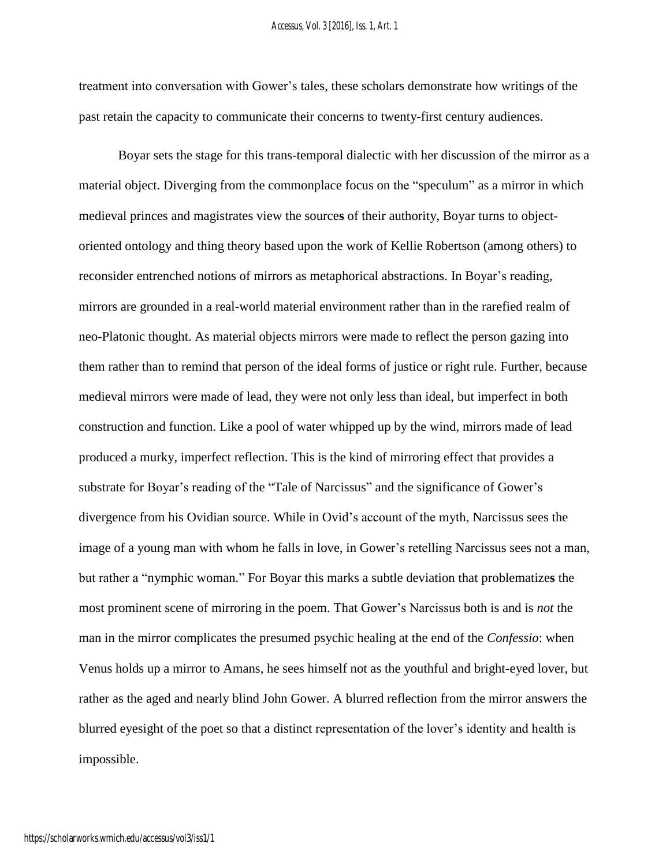#### *Accessus, Vol. 3 [2016], Iss. 1, Art. 1*

treatment into conversation with Gower's tales, these scholars demonstrate how writings of the past retain the capacity to communicate their concerns to twenty-first century audiences.

Boyar sets the stage for this trans-temporal dialectic with her discussion of the mirror as a material object. Diverging from the commonplace focus on the "speculum" as a mirror in which medieval princes and magistrates view the source**s** of their authority, Boyar turns to objectoriented ontology and thing theory based upon the work of Kellie Robertson (among others) to reconsider entrenched notions of mirrors as metaphorical abstractions. In Boyar's reading, mirrors are grounded in a real-world material environment rather than in the rarefied realm of neo-Platonic thought. As material objects mirrors were made to reflect the person gazing into them rather than to remind that person of the ideal forms of justice or right rule. Further, because medieval mirrors were made of lead, they were not only less than ideal, but imperfect in both construction and function. Like a pool of water whipped up by the wind, mirrors made of lead produced a murky, imperfect reflection. This is the kind of mirroring effect that provides a substrate for Boyar's reading of the "Tale of Narcissus" and the significance of Gower's divergence from his Ovidian source. While in Ovid's account of the myth, Narcissus sees the image of a young man with whom he falls in love, in Gower's retelling Narcissus sees not a man, but rather a "nymphic woman." For Boyar this marks a subtle deviation that problematize**s** the most prominent scene of mirroring in the poem. That Gower's Narcissus both is and is *not* the man in the mirror complicates the presumed psychic healing at the end of the *Confessio*: when Venus holds up a mirror to Amans, he sees himself not as the youthful and bright-eyed lover, but rather as the aged and nearly blind John Gower. A blurred reflection from the mirror answers the blurred eyesight of the poet so that a distinct representation of the lover's identity and health is impossible.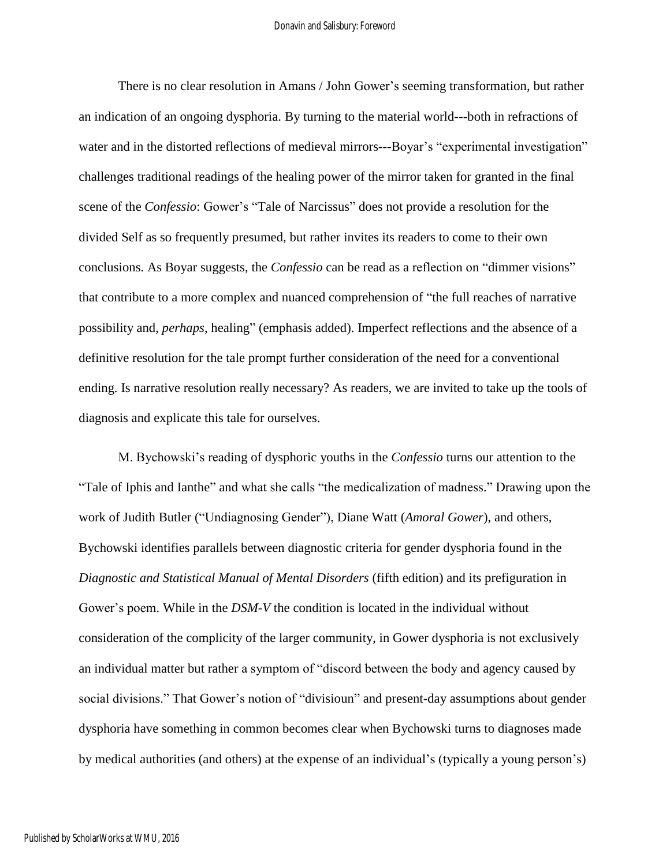There is no clear resolution in Amans / John Gower's seeming transformation, but rather an indication of an ongoing dysphoria. By turning to the material world---both in refractions of water and in the distorted reflections of medieval mirrors---Boyar's "experimental investigation" challenges traditional readings of the healing power of the mirror taken for granted in the final scene of the *Confessio*: Gower's "Tale of Narcissus" does not provide a resolution for the divided Self as so frequently presumed, but rather invites its readers to come to their own conclusions. As Boyar suggests, the *Confessio* can be read as a reflection on "dimmer visions" that contribute to a more complex and nuanced comprehension of "the full reaches of narrative possibility and, *perhaps*, healing" (emphasis added). Imperfect reflections and the absence of a definitive resolution for the tale prompt further consideration of the need for a conventional ending. Is narrative resolution really necessary? As readers, we are invited to take up the tools of diagnosis and explicate this tale for ourselves.

M. Bychowski's reading of dysphoric youths in the *Confessio* turns our attention to the "Tale of Iphis and Ianthe" and what she calls "the medicalization of madness." Drawing upon the work of Judith Butler ("Undiagnosing Gender"), Diane Watt (*Amoral Gower*), and others, Bychowski identifies parallels between diagnostic criteria for gender dysphoria found in the *Diagnostic and Statistical Manual of Mental Disorders* (fifth edition) and its prefiguration in Gower's poem. While in the *DSM-V* the condition is located in the individual without consideration of the complicity of the larger community, in Gower dysphoria is not exclusively an individual matter but rather a symptom of "discord between the body and agency caused by social divisions." That Gower's notion of "divisioun" and present-day assumptions about gender dysphoria have something in common becomes clear when Bychowski turns to diagnoses made by medical authorities (and others) at the expense of an individual's (typically a young person's)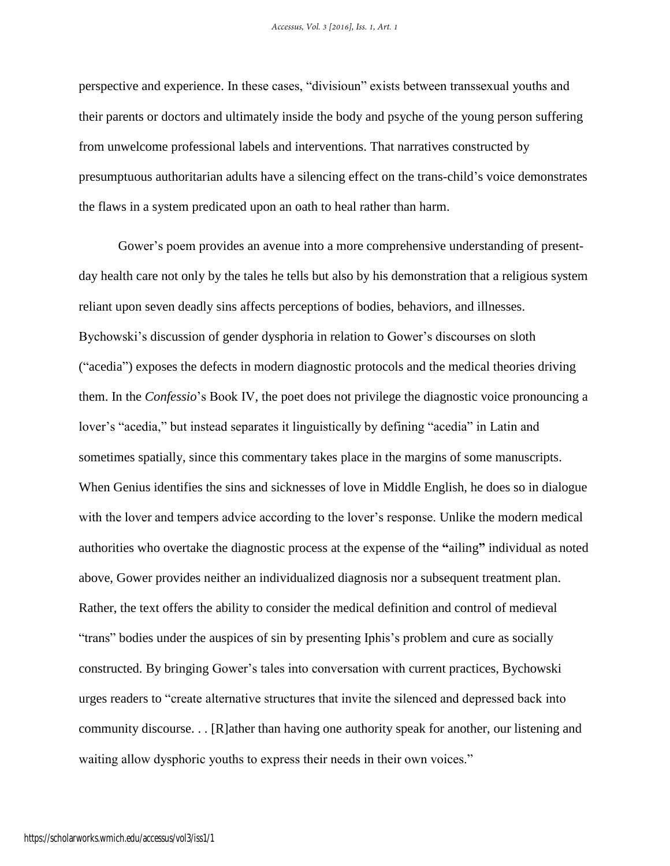perspective and experience. In these cases, "divisioun" exists between transsexual youths and their parents or doctors and ultimately inside the body and psyche of the young person suffering from unwelcome professional labels and interventions. That narratives constructed by presumptuous authoritarian adults have a silencing effect on the trans-child's voice demonstrates the flaws in a system predicated upon an oath to heal rather than harm.

Gower's poem provides an avenue into a more comprehensive understanding of presentday health care not only by the tales he tells but also by his demonstration that a religious system reliant upon seven deadly sins affects perceptions of bodies, behaviors, and illnesses. Bychowski's discussion of gender dysphoria in relation to Gower's discourses on sloth ("acedia") exposes the defects in modern diagnostic protocols and the medical theories driving them. In the *Confessio*'s Book IV, the poet does not privilege the diagnostic voice pronouncing a lover's "acedia," but instead separates it linguistically by defining "acedia" in Latin and sometimes spatially, since this commentary takes place in the margins of some manuscripts. When Genius identifies the sins and sicknesses of love in Middle English, he does so in dialogue with the lover and tempers advice according to the lover's response. Unlike the modern medical authorities who overtake the diagnostic process at the expense of the **"**ailing**"** individual as noted above, Gower provides neither an individualized diagnosis nor a subsequent treatment plan. Rather, the text offers the ability to consider the medical definition and control of medieval "trans" bodies under the auspices of sin by presenting Iphis's problem and cure as socially constructed. By bringing Gower's tales into conversation with current practices, Bychowski urges readers to "create alternative structures that invite the silenced and depressed back into community discourse. . . [R]ather than having one authority speak for another, our listening and waiting allow dysphoric youths to express their needs in their own voices."